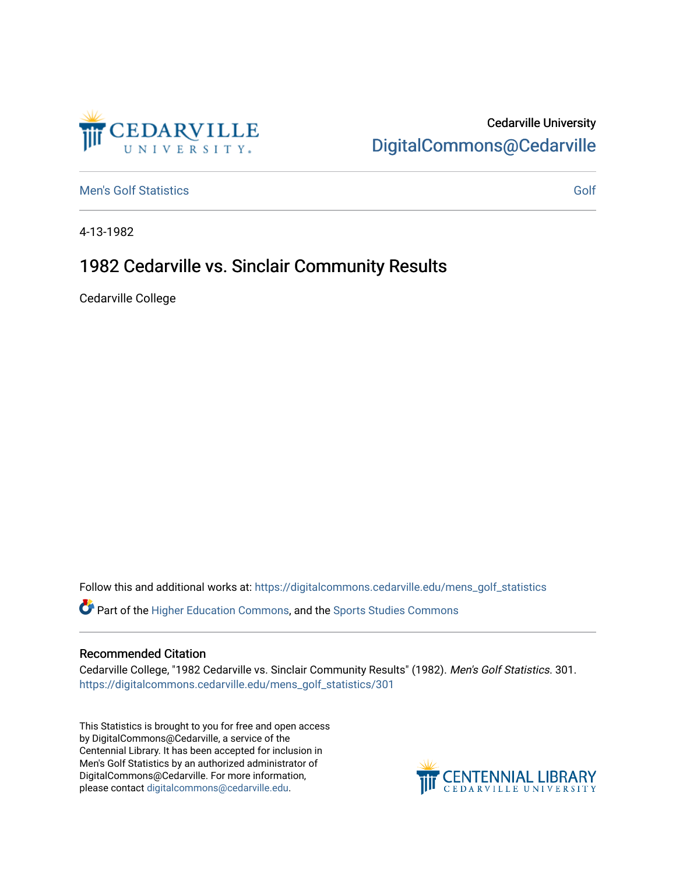## Cedarville University [DigitalCommons@Cedarville](https://digitalcommons.cedarville.edu/)

[Men's Golf Statistics](https://digitalcommons.cedarville.edu/mens_golf_statistics) [Golf](https://digitalcommons.cedarville.edu/mens_golf) Statistics Golf Statistics Golf Contract Contract Contract Contract Contract Contract Contract Contract Contract Contract Contract Contract Contract Contract Contract Contract Contract Contract C

EDARVILLE

4-13-1982

## 1982 Cedarville vs. Sinclair Community Results

Cedarville College

Follow this and additional works at: [https://digitalcommons.cedarville.edu/mens\\_golf\\_statistics](https://digitalcommons.cedarville.edu/mens_golf_statistics?utm_source=digitalcommons.cedarville.edu%2Fmens_golf_statistics%2F301&utm_medium=PDF&utm_campaign=PDFCoverPages)

Part of the [Higher Education Commons,](http://network.bepress.com/hgg/discipline/1245?utm_source=digitalcommons.cedarville.edu%2Fmens_golf_statistics%2F301&utm_medium=PDF&utm_campaign=PDFCoverPages) and the [Sports Studies Commons](http://network.bepress.com/hgg/discipline/1198?utm_source=digitalcommons.cedarville.edu%2Fmens_golf_statistics%2F301&utm_medium=PDF&utm_campaign=PDFCoverPages) 

## Recommended Citation

Cedarville College, "1982 Cedarville vs. Sinclair Community Results" (1982). Men's Golf Statistics. 301. [https://digitalcommons.cedarville.edu/mens\\_golf\\_statistics/301](https://digitalcommons.cedarville.edu/mens_golf_statistics/301?utm_source=digitalcommons.cedarville.edu%2Fmens_golf_statistics%2F301&utm_medium=PDF&utm_campaign=PDFCoverPages) 

This Statistics is brought to you for free and open access by DigitalCommons@Cedarville, a service of the Centennial Library. It has been accepted for inclusion in Men's Golf Statistics by an authorized administrator of DigitalCommons@Cedarville. For more information, please contact [digitalcommons@cedarville.edu](mailto:digitalcommons@cedarville.edu).

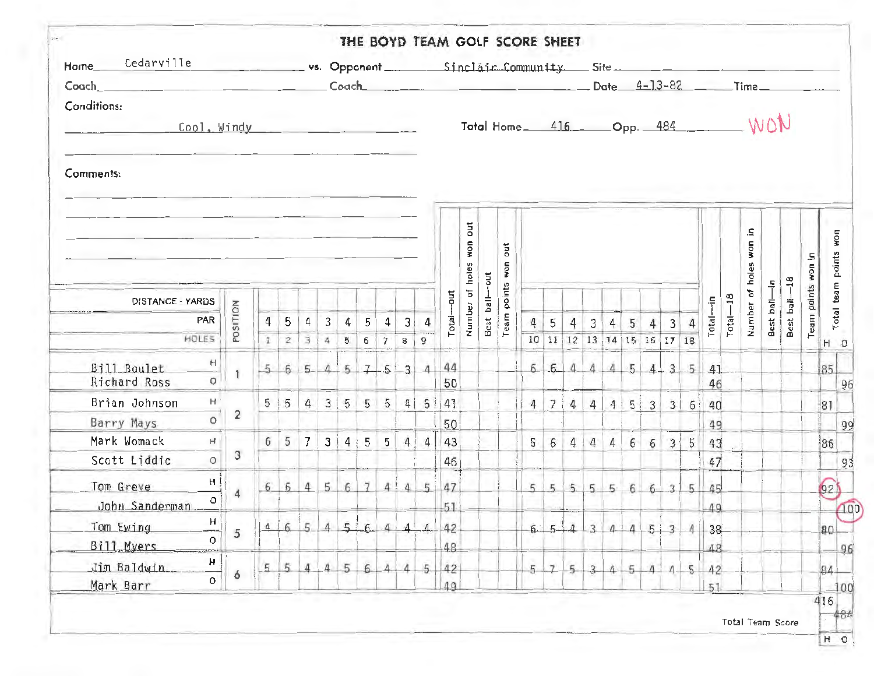| Coach<br>Conditions:<br>$Cool2$ Windy           |                |                                  |                     |                                  |                                  |                     |                              |                |                                  |                |          |                          |               |          | vs. Opponent Sinclair Community Site Site |                  |          |                                                             |     |                 |                  |                   |                |                   |              |                   |            |              |             |                             |
|-------------------------------------------------|----------------|----------------------------------|---------------------|----------------------------------|----------------------------------|---------------------|------------------------------|----------------|----------------------------------|----------------|----------|--------------------------|---------------|----------|-------------------------------------------|------------------|----------|-------------------------------------------------------------|-----|-----------------|------------------|-------------------|----------------|-------------------|--------------|-------------------|------------|--------------|-------------|-----------------------------|
|                                                 |                |                                  |                     |                                  |                                  |                     |                              |                |                                  |                |          |                          |               |          | Total Home_ 416_ Opp. 484______ WON       |                  |          |                                                             |     |                 |                  |                   |                |                   |              |                   |            |              |             |                             |
| Comments:                                       |                |                                  |                     |                                  |                                  |                     |                              |                |                                  |                |          |                          |               |          |                                           |                  |          |                                                             |     |                 |                  |                   |                |                   |              |                   |            |              |             |                             |
|                                                 |                |                                  |                     |                                  |                                  |                     |                              |                |                                  |                |          | ă<br><b>HOM</b><br>holes | $5 - 2$       | j<br>won |                                           |                  |          |                                                             |     |                 |                  |                   |                |                   |              | Ξ<br>mom<br>holes | 두          |              | Æ<br>now    | Total team points won       |
| DISTANCE - YARDS                                |                |                                  |                     |                                  |                                  |                     |                              |                |                                  |                |          | đ                        | $\frac{1}{2}$ | points   |                                           |                  |          |                                                             |     |                 |                  |                   |                |                   |              | ð                 |            | Best ball-18 | Team points |                             |
| PAR<br>HOLES                                    | POSITION       | $\overline{4}$<br>$\mathbf{1}^-$ | 5<br>$\overline{2}$ | $\overline{4}$<br>$\overline{3}$ | $\overline{3}$<br>$\overline{4}$ | $\overline{4}$<br>5 | 5 <sup>1</sup><br>$6 \mid 7$ | $\overline{a}$ | $\overline{3}$<br>8 <sup>1</sup> | $\tilde{9}$    | Total-   | Number                   | Best          | Team     | $\sqrt{4}$                                | $5\overline{)}$  | 4        | $\overline{3}$<br>10 11 12 13 14 15 16 17 18                | 4   | $5\phantom{.0}$ | $\left 4\right $ | $\lceil 3 \rceil$ |                | Total-            | $Total - 18$ | Number            | Best ball- |              |             | $H$ 0                       |
| H<br>Bill Boulet<br>$\circ$<br>Richard Ross     |                | 5                                |                     | $6 - 5$                          |                                  | 4 5                 |                              | $7 - 5$        | 3                                |                | 44<br>50 |                          |               |          |                                           | $6 \mid 6 \mid$  | 4        | $\overline{4}$                                              |     | 4   5   4       |                  |                   | 35             | 41<br>46          |              |                   |            |              |             | 85<br>96                    |
| $H^+$<br>Brian Johnson<br>$\circ$<br>Barry Mays | $\overline{2}$ |                                  | $5 \mid 5$          | 4                                |                                  | 3   5 5 5           |                              |                |                                  | 4   5          | 41<br>50 |                          |               |          | $\overline{4}$                            | $\overline{I}$   | 4        |                                                             |     | 4   4   5   3   |                  | 3                 | $6^{\circ}$    | 40<br>49          |              |                   |            |              |             | 81                          |
| H<br>Mark Womack<br>$\circ$<br>Scott Liddic     | 3              |                                  | 6 5                 | 7                                |                                  | 3 4 5               |                              | 5              | $\overline{4}$                   | $\overline{4}$ | 43<br>46 |                          |               |          | 5                                         | 6                | 4        | $\overline{4}$                                              | (4) |                 | 66               |                   | $3 \mid 5$     | 43<br>47          |              |                   |            |              |             | 86                          |
| H<br>Tom Greve<br>$\circ$<br>John Sanderman     | $\overline{4}$ |                                  | 6614                |                                  |                                  | $5 \t6 \t7 \t4!$    |                              |                | $\overline{4}$                   | 5              | 47<br>51 |                          |               |          |                                           |                  |          | $5 \quad 5 \quad 5 \quad 5 \quad 5 \quad 6 \quad 6 \quad 3$ |     |                 |                  |                   | 5 <sub>1</sub> | 45<br>49          |              |                   |            |              |             | 92)                         |
| н<br>Tom Ewing<br>O<br>Bill Myers               | 5              | 4                                | 6                   | 5                                | $\Delta$                         |                     | 564                          |                | $\mathbf{A}$                     | $4 -$          | 42<br>48 |                          |               |          |                                           | $6 \overline{5}$ | $\Delta$ | $\overline{3}$                                              |     | 414             | $5 + 3$          |                   | $\Lambda$      | 38<br>48          |              |                   |            |              |             | 100<br>B <sub>0</sub><br>96 |
| н<br>Jim Baldwin<br>0<br>Mark Barr              | 6              | 5                                | 5                   | $\overline{4}$                   | $\overline{4}$                   | 5                   | 6                            | $\overline{4}$ | 4                                | 5              | 42<br>49 |                          |               |          | $5 -$                                     | $\overline{7}$   | $5 -$    | $\overline{3}$                                              | 4   | $5 -$           | $\Lambda$        | $\overline{4}$    |                | $5 \mid 42$<br>51 |              |                   |            |              |             | 84<br>100                   |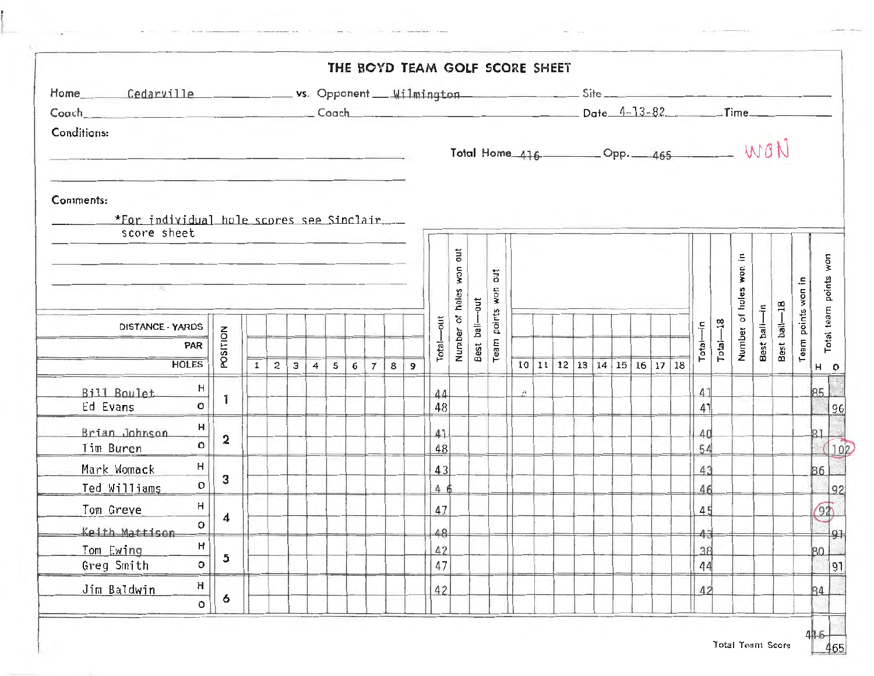| Conditions:                                                          |                 |              |                |   |                |   |   |                |                |                |                  |               |                     | Total Home $416$ Opp. $465$ WON |                             |           |    |  |                                              |  |                       |              |           |              |              |                       |                                |
|----------------------------------------------------------------------|-----------------|--------------|----------------|---|----------------|---|---|----------------|----------------|----------------|------------------|---------------|---------------------|---------------------------------|-----------------------------|-----------|----|--|----------------------------------------------|--|-----------------------|--------------|-----------|--------------|--------------|-----------------------|--------------------------------|
| Comments:<br>*For individual hole scores see Sinclair<br>score sheet |                 |              |                |   |                |   |   |                |                |                |                  | <b>jno</b>    |                     |                                 |                             |           |    |  |                                              |  |                       |              | Έ,        |              |              |                       |                                |
|                                                                      |                 |              |                |   |                |   |   |                |                |                | won<br>holes     | $\frac{1}{2}$ | ã<br><b>ROM</b>     |                                 |                             |           |    |  |                                              |  |                       | won<br>holes |           |              |              | Total team points won |                                |
| DISTANCE - YARDS<br>PAR                                              | <b>POSITION</b> |              |                |   |                |   |   |                |                |                | -out<br>$Total-$ | Number of     | $rac{1}{2}$<br>Best | points<br>Team                  |                             |           |    |  |                                              |  | Total-in              | $Total - 18$ | Number of | Best bali-in | Best ball-18 | Team points won in    |                                |
| <b>HOLES</b>                                                         |                 | $\mathbf{I}$ | $\overline{2}$ | 3 | $\overline{4}$ | 5 | 6 | $\overline{7}$ | 8 <sup>1</sup> | $\overline{9}$ |                  |               |                     |                                 |                             | $10$   11 | 12 |  | $13 \mid 14 \mid 15 \mid 16 \mid 17 \mid 18$ |  |                       |              |           |              |              |                       | н<br>$\circ$                   |
| 븨<br>Bill Boulet<br>$\circ$<br>Ed Evans                              | $\mathbf{I}$    |              |                |   |                |   |   |                |                |                | 44<br>48         |               |                     |                                 | $\mathcal{L}^{\mathcal{L}}$ |           |    |  |                                              |  | 41<br>41              |              |           |              |              |                       | 85                             |
| H<br>Brian Johnson<br>$\circ$<br>Tim Buren                           | $\overline{2}$  |              |                |   |                |   |   |                |                |                | 41<br>48         |               |                     |                                 |                             |           |    |  |                                              |  | $\Delta \Omega$<br>54 |              |           |              |              |                       | $\overline{\mathbb{G}}$<br> 31 |
| H<br>Mark Womack<br>$\circ$<br>Ted Williams                          | $\mathbf{3}$    |              |                |   |                |   |   |                |                |                | 43<br>4 6        |               |                     |                                 |                             |           |    |  |                                              |  | 43<br>46              |              |           |              |              |                       | 86                             |
| H<br>Tom Greve<br>o                                                  | $\overline{4}$  |              |                |   |                |   |   |                |                |                | 47               |               |                     |                                 |                             |           |    |  |                                              |  | 45                    |              |           |              |              |                       | $\sqrt{92}$                    |
| Keith Mattison<br>н<br>Tom Ewing<br>Greg Smith<br>o                  | 5               |              |                |   |                |   |   |                |                |                | 48<br>42<br>47   |               |                     |                                 |                             |           |    |  |                                              |  | 43 <br>38<br>44       |              |           |              |              |                       | 80                             |
| $\boldsymbol{\mathsf{H}}$<br>Jim Baldwin                             | 6               |              |                |   |                |   |   |                |                |                | 42               |               |                     |                                 |                             |           |    |  |                                              |  | 42                    |              |           |              |              |                       | 84                             |

 $\leftrightarrow$   $\sim$ 

 $\cdots$